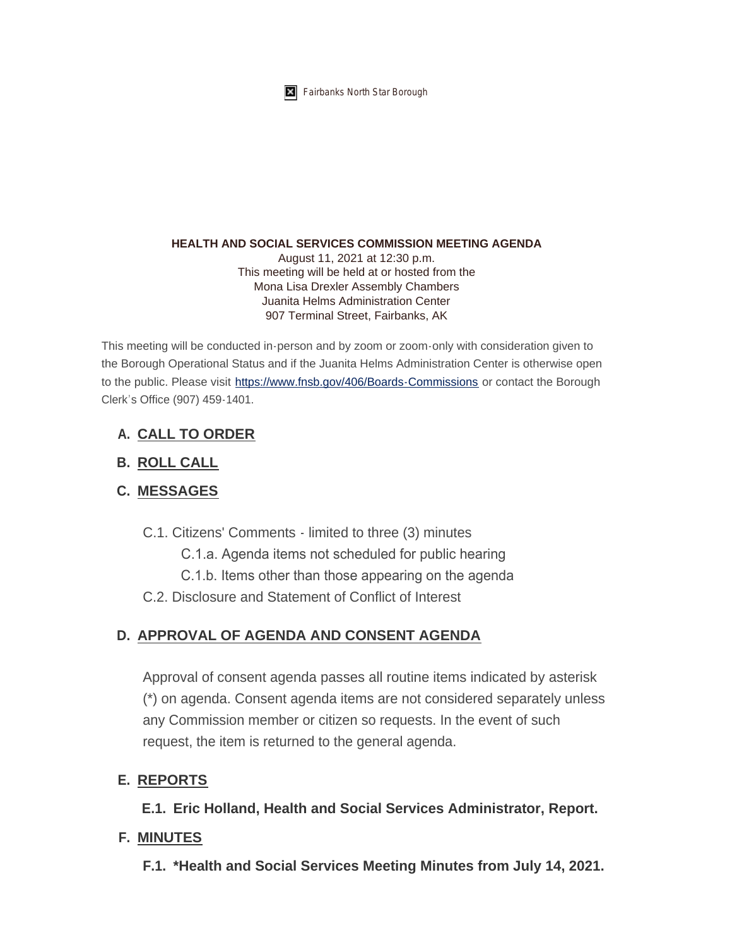

**K** Fairbanks North Star Borough

#### **HEALTH AND SOCIAL SERVICES COMMISSION MEETING AGENDA**

August 11, 2021 at 12:30 p.m. This meeting will be held at or hosted from the Mona Lisa Drexler Assembly Chambers Juanita Helms Administration Center 907 Terminal Street, Fairbanks, AK

This meeting will be conducted in-person and by zoom or zoom-only with consideration given to the Borough Operational Status and if the Juanita Helms Administration Center is otherwise open to the public. Please visit <https://www.fnsb.gov/406/Boards-Commissions>or contact the Borough Clerk's Office (907) 459-1401.

## **CALL TO ORDER A.**

## **ROLL CALL B.**

# **MESSAGES C.**

- C.1. Citizens' Comments limited to three (3) minutes
	- C.1.a. Agenda items not scheduled for public hearing
	- C.1.b. Items other than those appearing on the agenda
- C.2. Disclosure and Statement of Conflict of Interest

# **APPROVAL OF AGENDA AND CONSENT AGENDA D.**

Approval of consent agenda passes all routine items indicated by asterisk (\*) on agenda. Consent agenda items are not considered separately unless any Commission member or citizen so requests. In the event of such request, the item is returned to the general agenda.

### **REPORTS E.**

**Eric Holland, Health and Social Services Administrator, Report. E.1.**

#### **MINUTES F.**

**\*Health and Social Services Meeting Minutes from July 14, 2021. F.1.**